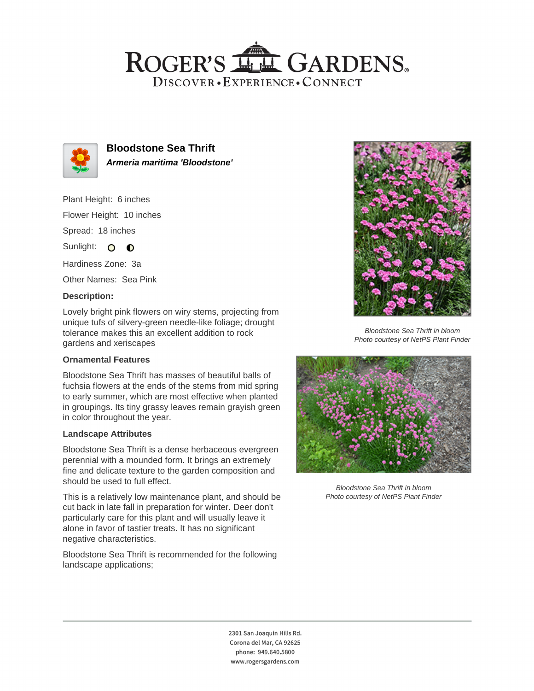## ROGER'S LL GARDENS. DISCOVER · EXPERIENCE · CONNECT



**Bloodstone Sea Thrift Armeria maritima 'Bloodstone'**

Plant Height: 6 inches Flower Height: 10 inches

Spread: 18 inches

Sunlight: O **O** 

Hardiness Zone: 3a

Other Names: Sea Pink

#### **Description:**

Lovely bright pink flowers on wiry stems, projecting from unique tufs of silvery-green needle-like foliage; drought tolerance makes this an excellent addition to rock gardens and xeriscapes

### **Ornamental Features**

Bloodstone Sea Thrift has masses of beautiful balls of fuchsia flowers at the ends of the stems from mid spring to early summer, which are most effective when planted in groupings. Its tiny grassy leaves remain grayish green in color throughout the year.

#### **Landscape Attributes**

Bloodstone Sea Thrift is a dense herbaceous evergreen perennial with a mounded form. It brings an extremely fine and delicate texture to the garden composition and should be used to full effect.

This is a relatively low maintenance plant, and should be cut back in late fall in preparation for winter. Deer don't particularly care for this plant and will usually leave it alone in favor of tastier treats. It has no significant negative characteristics.

Bloodstone Sea Thrift is recommended for the following landscape applications;



Bloodstone Sea Thrift in bloom Photo courtesy of NetPS Plant Finder



Bloodstone Sea Thrift in bloom Photo courtesy of NetPS Plant Finder

2301 San Joaquin Hills Rd. Corona del Mar, CA 92625 phone: 949.640.5800 www.rogersgardens.com